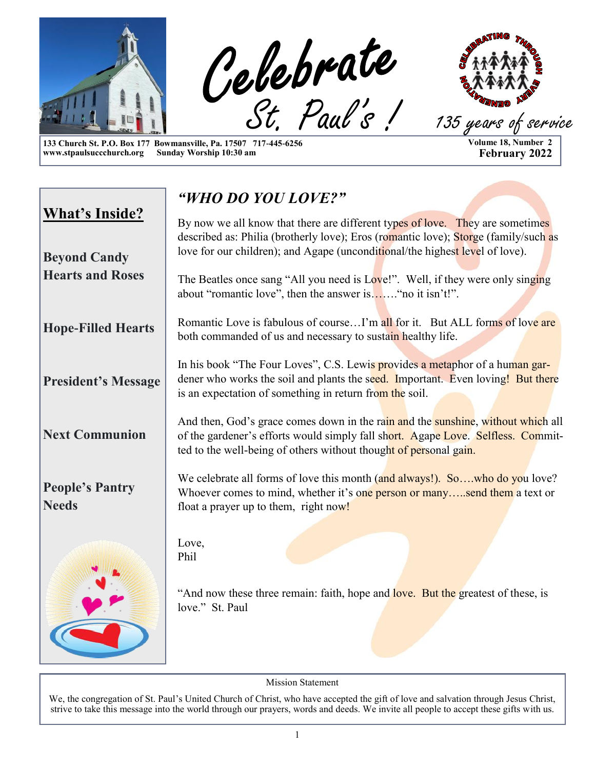

**133 Church St. P.O. Box 177 Bowmansville, Pa. 17507 717-445-6256**  www.stpaulsuccchurch.org

**Volume 18, Number 2 February 2022**

|                                              | "WHO DO YOU LOVE?"                                                                                                                                                                                                                                   |
|----------------------------------------------|------------------------------------------------------------------------------------------------------------------------------------------------------------------------------------------------------------------------------------------------------|
| <b>What's Inside?</b><br><b>Beyond Candy</b> | By now we all know that there are different types of love. They are sometimes<br>described as: Philia (brotherly love); Eros (romantic love); Storge (family/such as<br>love for our children); and Agape (unconditional/the highest level of love). |
| <b>Hearts and Roses</b>                      | The Beatles once sang "All you need is Love!". Well, if they were only singing<br>about "romantic love", then the answer is" no it isn't!".                                                                                                          |
| <b>Hope-Filled Hearts</b>                    | Romantic Love is fabulous of courseI'm all for it. But ALL forms of love are<br>both commanded of us and necessary to sustain healthy life.                                                                                                          |
| <b>President's Message</b>                   | In his book "The Four Loves", C.S. Lewis provides a metaphor of a human gar-<br>dener who works the soil and plants the seed. Important. Even loving! But there<br>is an expectation of something in return from the soil.                           |
| <b>Next Communion</b>                        | And then, God's grace comes down in the rain and the sunshine, without which all<br>of the gardener's efforts would simply fall short. Agape Love. Selfless. Commit-<br>ted to the well-being of others without thought of personal gain.            |
| <b>People's Pantry</b><br><b>Needs</b>       | We celebrate all forms of love this month (and always!). So,who do you love?<br>Whoever comes to mind, whether it's one person or manysend them a text or<br>float a prayer up to them, right now!                                                   |
|                                              | Love,<br>Phil                                                                                                                                                                                                                                        |
|                                              | "And now these three remain: faith, hope and love. But the greatest of these, is<br>love." St. Paul                                                                                                                                                  |
|                                              |                                                                                                                                                                                                                                                      |

Mission Statement

We, the congregation of St. Paul's United Church of Christ, who have accepted the gift of love and salvation through Jesus Christ, strive to take this message into the world through our prayers, words and deeds. We invite all people to accept these gifts with us.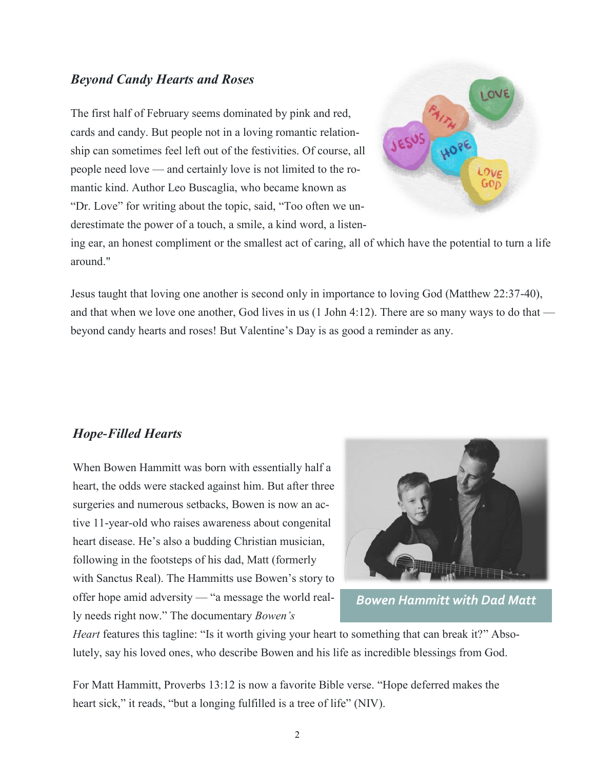#### *Beyond Candy Hearts and Roses*

The first half of February seems dominated by pink and red, cards and candy. But people not in a loving romantic relationship can sometimes feel left out of the festivities. Of course, all people need love — and certainly love is not limited to the romantic kind. Author Leo Buscaglia, who became known as "Dr. Love" for writing about the topic, said, "Too often we underestimate the power of a touch, a smile, a kind word, a listen-



ing ear, an honest compliment or the smallest act of caring, all of which have the potential to turn a life around."

Jesus taught that loving one another is second only in importance to loving God (Matthew 22:37-40), and that when we love one another, God lives in us (1 John 4:12). There are so many ways to do that beyond candy hearts and roses! But Valentine's Day is as good a reminder as any.

#### *Hope-Filled Hearts*

When Bowen Hammitt was born with essentially half a heart, the odds were stacked against him. But after three surgeries and numerous setbacks, Bowen is now an active 11-year-old who raises awareness about congenital heart disease. He's also a budding Christian musician, following in the footsteps of his dad, Matt (formerly with Sanctus Real). The Hammitts use Bowen's story to offer hope amid adversity — "a message the world really needs right now." The documentary *Bowen's* 



*Bowen Hammitt with Dad Matt*

*Heart* features this tagline: "Is it worth giving your heart to something that can break it?" Absolutely, say his loved ones, who describe Bowen and his life as incredible blessings from God.

For Matt Hammitt, Proverbs 13:12 is now a favorite Bible verse. "Hope deferred makes the heart sick," it reads, "but a longing fulfilled is a tree of life" (NIV).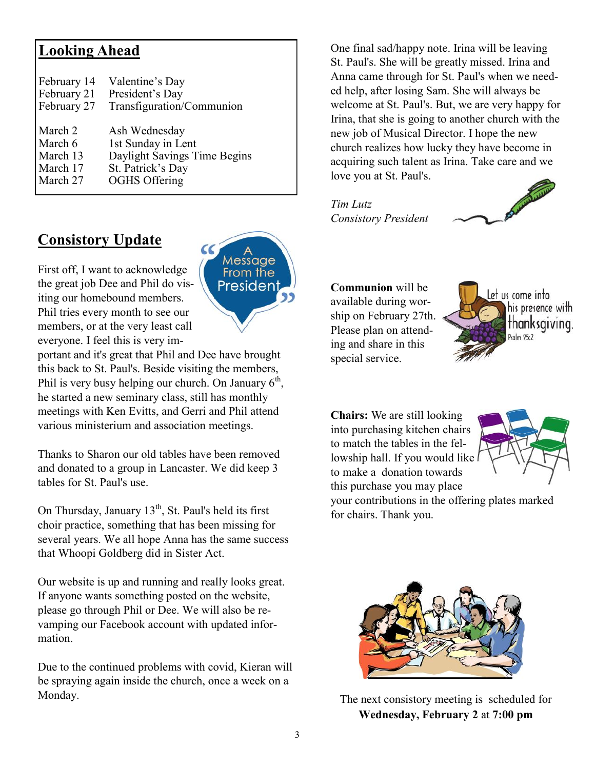#### **Looking Ahead**

| February 14 | Valentine's Day              |
|-------------|------------------------------|
| February 21 | President's Day              |
| February 27 | Transfiguration/Communion    |
|             |                              |
| March 2     | Ash Wednesday                |
| March 6     | 1st Sunday in Lent           |
| March 13    | Daylight Savings Time Begins |
| March 17    | St. Patrick's Day            |
| March 27    | <b>OGHS Offering</b>         |

#### **Consistory Update**



First off, I want to acknowledge the great job Dee and Phil do visiting our homebound members. Phil tries every month to see our members, or at the very least call everyone. I feel this is very im-

portant and it's great that Phil and Dee have brought this back to St. Paul's. Beside visiting the members, Phil is very busy helping our church. On January  $6<sup>th</sup>$ , he started a new seminary class, still has monthly meetings with Ken Evitts, and Gerri and Phil attend various ministerium and association meetings.

Thanks to Sharon our old tables have been removed and donated to a group in Lancaster. We did keep 3 tables for St. Paul's use.

On Thursday, January 13<sup>th</sup>, St. Paul's held its first choir practice, something that has been missing for several years. We all hope Anna has the same success that Whoopi Goldberg did in Sister Act.

Our website is up and running and really looks great. If anyone wants something posted on the website, please go through Phil or Dee. We will also be revamping our Facebook account with updated information.

Due to the continued problems with covid, Kieran will be spraying again inside the church, once a week on a Monday.

One final sad/happy note. Irina will be leaving St. Paul's. She will be greatly missed. Irina and Anna came through for St. Paul's when we needed help, after losing Sam. She will always be welcome at St. Paul's. But, we are very happy for Irina, that she is going to another church with the new job of Musical Director. I hope the new church realizes how lucky they have become in acquiring such talent as Irina. Take care and we love you at St. Paul's.

*Tim Lutz Consistory President* 



#### **Communion** will be available during wor-

ship on February 27th. Please plan on attending and share in this special service.



**Chairs:** We are still looking into purchasing kitchen chairs to match the tables in the fellowship hall. If you would like to make a donation towards this purchase you may place your contributions in the offering plates marked for chairs. Thank you.



The next consistory meeting is scheduled for **Wednesday, February 2** at **7:00 pm**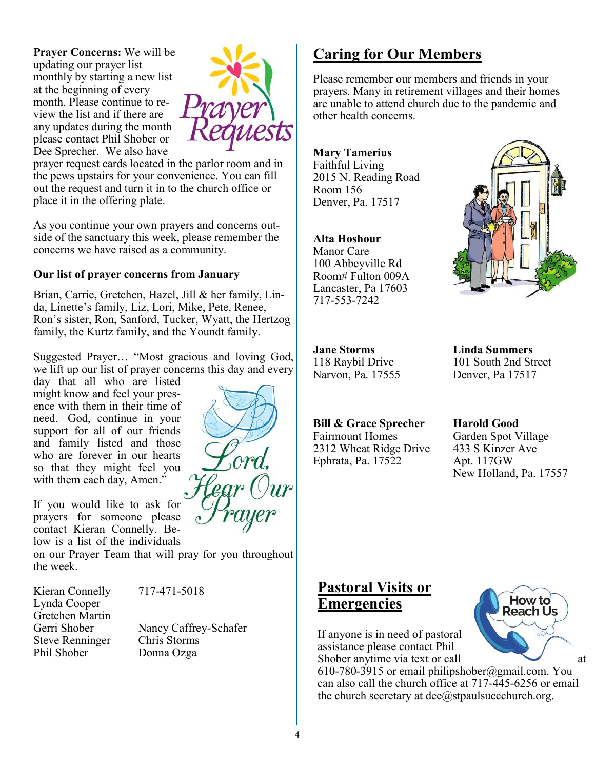**Prayer Concerns:** We will be updating our prayer list monthly by starting a new list at the beginning of every month. Please continue to review the list and if there are any updates during the month please contact Phil Shober or Dee Sprecher. We also have



prayer request cards located in the parlor room and in the pews upstairs for your convenience. You can fill out the request and turn it in to the church office or place it in the offering plate.

As you continue your own prayers and concerns outside of the sanctuary this week, please remember the concerns we have raised as a community.

#### **Our list of prayer concerns from January**

Brian, Carrie, Gretchen, Hazel, Jill & her family, Linda, Linette's family, Liz, Lori, Mike, Pete, Renee, Ron's sister, Ron, Sanford, Tucker, Wyatt, the Hertzog family, the Kurtz family, and the Youndt family.

Suggested Prayer… "Most gracious and loving God, we lift up our list of prayer concerns this day and every

day that all who are listed might know and feel your presence with them in their time of need. God, continue in your support for all of our friends and family listed and those who are forever in our hearts so that they might feel you with them each day, Amen."

If you would like to ask for prayers for someone please contact Kieran Connelly. Below is a list of the individuals

on our Prayer Team that will pray for you throughout the week.

Kieran Connelly 717-471-5018 Lynda Cooper Gretchen Martin Steve Renninger Chris Storms Phil Shober Donna Ozga

Gerri Shober Nancy Caffrey-Schafer

#### **Caring for Our Members**

Please remember our members and friends in your prayers. Many in retirement villages and their homes are unable to attend church due to the pandemic and other health concerns.

**Mary Tamerius** Faithful Living 2015 N. Reading Road Room 156 Denver, Pa. 17517

#### **Alta Hoshour**

Manor Care 100 Abbeyville Rd Room# Fulton 009A Lancaster, Pa 17603 717-553-7242



**Jane Storms Linda Summers**

#### **Bill & Grace Sprecher Harold Good**

Fairmount Homes Garden Spot Village 2312 Wheat Ridge Drive 433 S Kinzer Ave Ephrata, Pa. 17522 Apt. 117GW

118 Raybil Drive 101 South 2nd Street Narvon, Pa. 17555 Denver, Pa 17517

New Holland, Pa. 17557

#### **Pastoral Visits or Emergencies**

If anyone is in need of pastoral assistance please contact Phil Shober anytime via text or call at

610-780-3915 or email philipshober@gmail.com. You can also call the church office at 717-445-6256 or email the church secretary at  $\text{dee}(\hat{a})$ stpaulsuccchurch.org.



4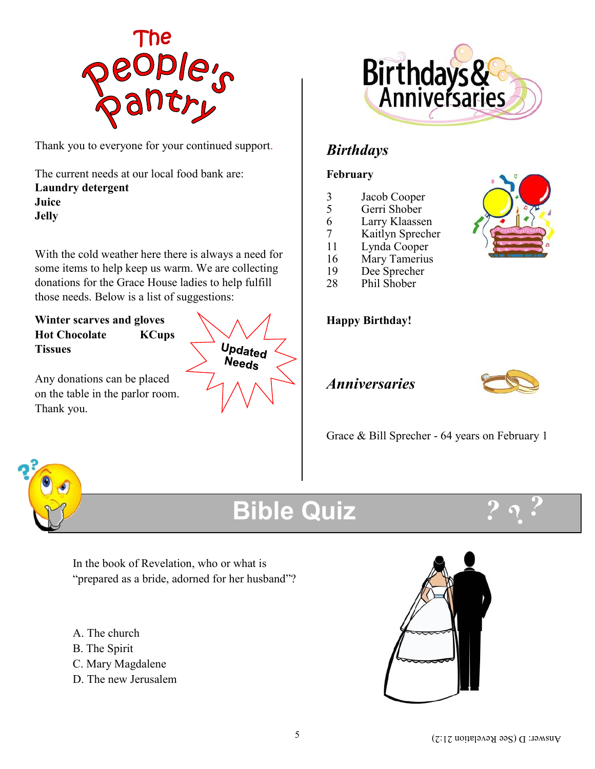

Thank you to everyone for your continued support.

The current needs at our local food bank are: **Laundry detergent Juice Jelly**

With the cold weather here there is always a need for some items to help keep us warm. We are collecting donations for the Grace House ladies to help fulfill those needs. Below is a list of suggestions:

**Winter scarves and gloves Hot Chocolate KCups Tissues**

Any donations can be placed on the table in the parlor room. Thank you.





#### *Birthdays*

#### **February**

- 3 Jacob Cooper
- Gerri Shober
- 6 Larry Klaassen
- 7 Kaitlyn Sprecher
- 11 Lynda Cooper
- 16 Mary Tamerius
- 19 Dee Sprecher<br>28 Phil Shober
- Phil Shober



#### *Anniversaries*



Grace & Bill Sprecher - 64 years on February 1



### **Bible Quiz**



In the book of Revelation, who or what is "prepared as a bride, adorned for her husband"?

- A. The church
- B. The Spirit
- C. Mary Magdalene
- D. The new Jerusalem

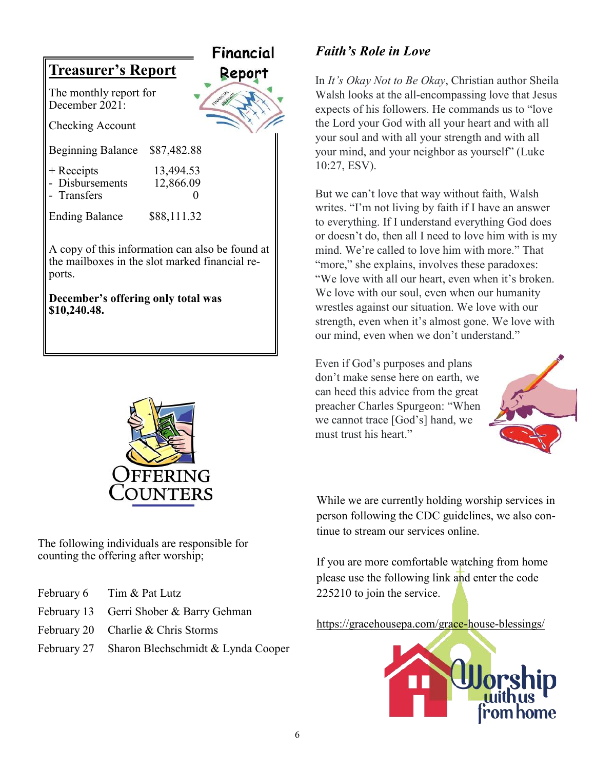

**December's offering only total was \$10,240.48.**



The following individuals are responsible for counting the offering after worship;

- February 6 Tim & Pat Lutz
- February 13 Gerri Shober & Barry Gehman
- February 20 Charlie & Chris Storms
- February 27 Sharon Blechschmidt & Lynda Cooper

#### *Faith's Role in Love*

In *It's Okay Not to Be Okay*, Christian author Sheila Walsh looks at the all-encompassing love that Jesus expects of his followers. He commands us to "love the Lord your God with all your heart and with all your soul and with all your strength and with all your mind, and your neighbor as yourself" (Luke 10:27, ESV).

But we can't love that way without faith, Walsh writes. "I'm not living by faith if I have an answer to everything. If I understand everything God does or doesn't do, then all I need to love him with is my mind. We're called to love him with more." That "more," she explains, involves these paradoxes: "We love with all our heart, even when it's broken. We love with our soul, even when our humanity wrestles against our situation. We love with our strength, even when it's almost gone. We love with our mind, even when we don't understand."

Even if God's purposes and plans don't make sense here on earth, we can heed this advice from the great preacher Charles Spurgeon: "When we cannot trace [God's] hand, we must trust his heart."



While we are currently holding worship services in person following the CDC guidelines, we also continue to stream our services online.

If you are more comfortable watching from home please use the following link and enter the code 225210 to join the service.

<https://gracehousepa.com/grace-house-blessings/>

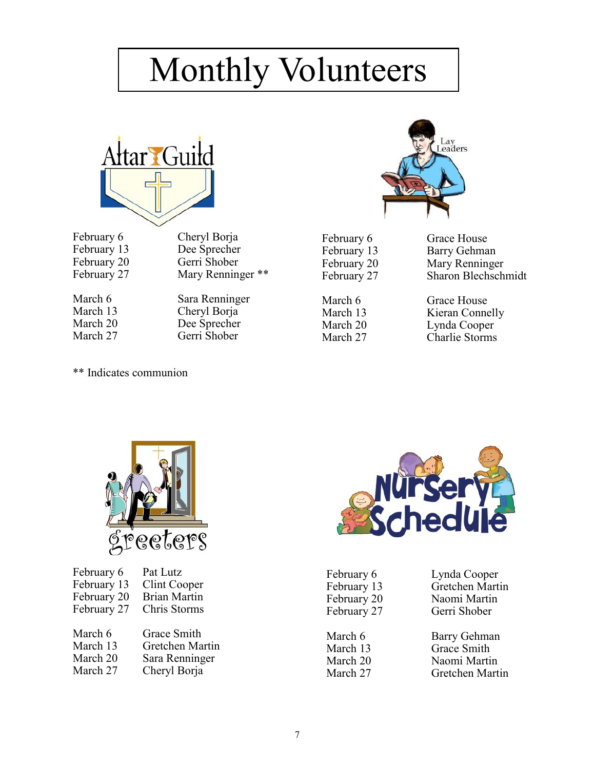## Monthly Volunteers



February 6 Cheryl Borja

February 13 Dee Sprecher February 20 Gerri Shober February 27 Mary Renninger \*\*

March 6 Sara Renninger March 13 Cheryl Borja March 20 Dee Sprecher March 27 Gerri Shober



February 6 Grace House February 13 Barry Gehman February 20 Mary Renninger February 27 Sharon Blechschmidt

March 6 Grace House March 13 Kieran Connelly March 20 Lynda Cooper<br>March 27 Charlie Storms Charlie Storms

\*\* Indicates communion



| February 6  | Pat Lutz            |
|-------------|---------------------|
| February 13 | Clint Cooper        |
| February 20 | <b>Brian Martin</b> |
| February 27 | Chris Storms        |
|             |                     |
| March 6     | Grace Smith         |
| March 13    | Gretchen Martin     |
| March 20    | Sara Renninger      |
| March 27    | Cheryl Borja        |



February 6 Lynda Cooper February 27 Gerri Shober

February 13 Gretchen Martin February 20 Naomi Martin

March 6 Barry Gehman March 13 Grace Smith March 20 Naomi Martin<br>March 27 Gretchen Mart Gretchen Martin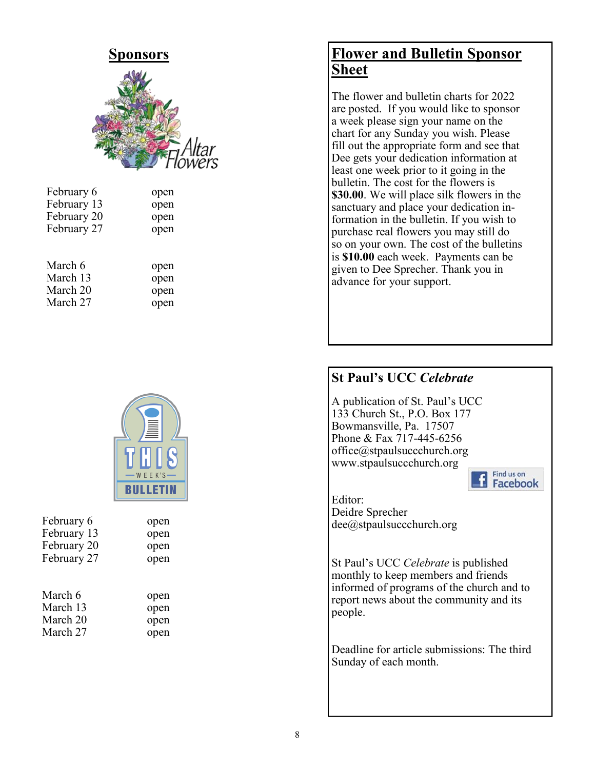

| February 6  |      |
|-------------|------|
|             | open |
| February 13 | open |
| February 20 | open |
| February 27 | open |
|             |      |
|             |      |

| March 6  | open |
|----------|------|
| March 13 | open |
| March 20 | open |
| March 27 | open |



| February 6  | open |
|-------------|------|
| February 13 | open |
| February 20 | open |
| February 27 | open |
| March 6     | open |
| March 13    | open |
| March 20    | open |
| March 27    | open |

#### **Flower and Bulletin Sponsor Sheet**

The flower and bulletin charts for 2022 are posted. If you would like to sponsor a week please sign your name on the chart for any Sunday you wish. Please fill out the appropriate form and see that Dee gets your dedication information at least one week prior to it going in the bulletin. The cost for the flowers is **\$30.00**. We will place silk flowers in the sanctuary and place your dedication information in the bulletin. If you wish to purchase real flowers you may still do so on your own. The cost of the bulletins is **\$10.00** each week. Payments can be given to Dee Sprecher. Thank you in advance for your support.

#### **St Paul's UCC** *Celebrate*

A publication of St. Paul's UCC 133 Church St., P.O. Box 177 Bowmansville, Pa. 17507 Phone & Fax 717-445-6256 office@stpaulsuccchurch.org www.stpaulsuccchurch.org



Editor: Deidre Sprecher dee@stpaulsuccchurch.org

St Paul's UCC *Celebrate* is published monthly to keep members and friends informed of programs of the church and to report news about the community and its people.

Deadline for article submissions: The third Sunday of each month.